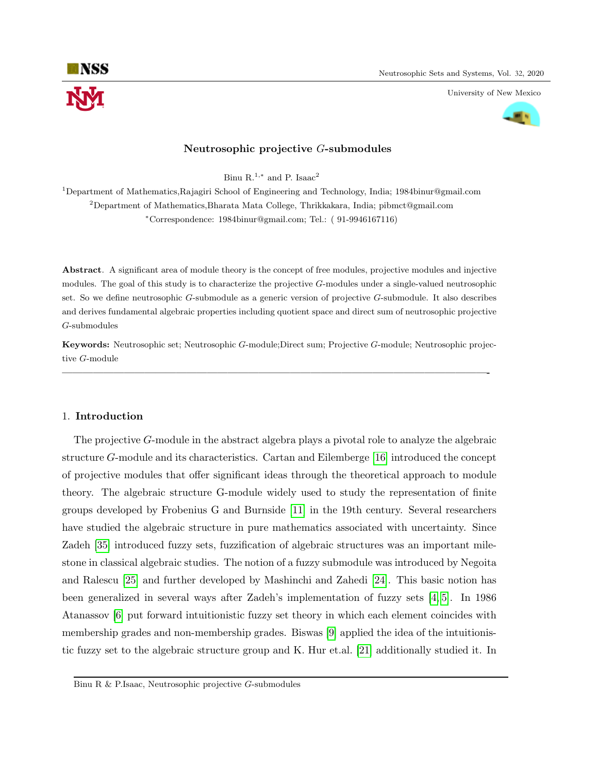

University of New Mexico



### Neutrosophic projective G-submodules

Binu R.<sup>1,\*</sup> and P. Isaac<sup>2</sup>

<sup>1</sup>Department of Mathematics,Rajagiri School of Engineering and Technology, India; 1984binur@gmail.com <sup>2</sup>Department of Mathematics,Bharata Mata College, Thrikkakara, India; pibmct@gmail.com <sup>∗</sup>Correspondence: 1984binur@gmail.com; Tel.: ( 91-9946167116)

Abstract. A significant area of module theory is the concept of free modules, projective modules and injective modules. The goal of this study is to characterize the projective G-modules under a single-valued neutrosophic set. So we define neutrosophic G-submodule as a generic version of projective G-submodule. It also describes and derives fundamental algebraic properties including quotient space and direct sum of neutrosophic projective G-submodules

Keywords: Neutrosophic set; Neutrosophic G-module;Direct sum; Projective G-module; Neutrosophic projective G-module

—————————————————————————————————————————-

### 1. Introduction

The projective G-module in the abstract algebra plays a pivotal role to analyze the algebraic structure G-module and its characteristics. Cartan and Eilemberge [\[16\]](#page-11-0) introduced the concept of projective modules that offer significant ideas through the theoretical approach to module theory. The algebraic structure G-module widely used to study the representation of finite groups developed by Frobenius G and Burnside [\[11\]](#page-11-1) in the 19th century. Several researchers have studied the algebraic structure in pure mathematics associated with uncertainty. Since Zadeh [\[35\]](#page-12-0) introduced fuzzy sets, fuzzification of algebraic structures was an important milestone in classical algebraic studies. The notion of a fuzzy submodule was introduced by Negoita and Ralescu [\[25\]](#page-11-2) and further developed by Mashinchi and Zahedi [\[24\]](#page-11-3). This basic notion has been generalized in several ways after Zadeh's implementation of fuzzy sets [\[4,](#page-11-4) [5\]](#page-11-5). In 1986 Atanassov [\[6\]](#page-11-6) put forward intuitionistic fuzzy set theory in which each element coincides with membership grades and non-membership grades. Biswas [\[9\]](#page-11-7) applied the idea of the intuitionistic fuzzy set to the algebraic structure group and K. Hur et.al. [\[21\]](#page-11-8) additionally studied it. In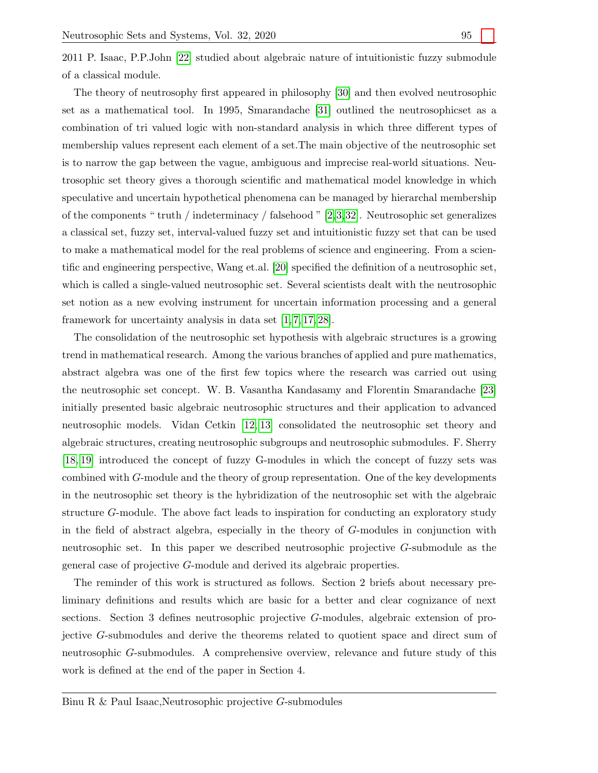2011 P. Isaac, P.P.John [\[22\]](#page-11-9) studied about algebraic nature of intuitionistic fuzzy submodule of a classical module.

The theory of neutrosophy first appeared in philosophy [\[30\]](#page-12-1) and then evolved neutrosophic set as a mathematical tool. In 1995, Smarandache [\[31\]](#page-12-2) outlined the neutrosophicset as a combination of tri valued logic with non-standard analysis in which three different types of membership values represent each element of a set.The main objective of the neutrosophic set is to narrow the gap between the vague, ambiguous and imprecise real-world situations. Neutrosophic set theory gives a thorough scientific and mathematical model knowledge in which speculative and uncertain hypothetical phenomena can be managed by hierarchal membership of the components " truth / indeterminacy / falsehood "  $[2,3,32]$  $[2,3,32]$  $[2,3,32]$ . Neutrosophic set generalizes a classical set, fuzzy set, interval-valued fuzzy set and intuitionistic fuzzy set that can be used to make a mathematical model for the real problems of science and engineering. From a scientific and engineering perspective, Wang et.al. [\[20\]](#page-11-12) specified the definition of a neutrosophic set, which is called a single-valued neutrosophic set. Several scientists dealt with the neutrosophic set notion as a new evolving instrument for uncertain information processing and a general framework for uncertainty analysis in data set [\[1,](#page-11-13) [7,](#page-11-14) [17,](#page-11-15) [28\]](#page-12-4).

The consolidation of the neutrosophic set hypothesis with algebraic structures is a growing trend in mathematical research. Among the various branches of applied and pure mathematics, abstract algebra was one of the first few topics where the research was carried out using the neutrosophic set concept. W. B. Vasantha Kandasamy and Florentin Smarandache [\[23\]](#page-11-16) initially presented basic algebraic neutrosophic structures and their application to advanced neutrosophic models. Vidan Cetkin [\[12,](#page-11-17) [13\]](#page-11-18) consolidated the neutrosophic set theory and algebraic structures, creating neutrosophic subgroups and neutrosophic submodules. F. Sherry [\[18,](#page-11-19) [19\]](#page-11-20) introduced the concept of fuzzy G-modules in which the concept of fuzzy sets was combined with G-module and the theory of group representation. One of the key developments in the neutrosophic set theory is the hybridization of the neutrosophic set with the algebraic structure G-module. The above fact leads to inspiration for conducting an exploratory study in the field of abstract algebra, especially in the theory of G-modules in conjunction with neutrosophic set. In this paper we described neutrosophic projective G-submodule as the general case of projective G-module and derived its algebraic properties.

The reminder of this work is structured as follows. Section 2 briefs about necessary preliminary definitions and results which are basic for a better and clear cognizance of next sections. Section 3 defines neutrosophic projective G-modules, algebraic extension of projective G-submodules and derive the theorems related to quotient space and direct sum of neutrosophic G-submodules. A comprehensive overview, relevance and future study of this work is defined at the end of the paper in Section 4.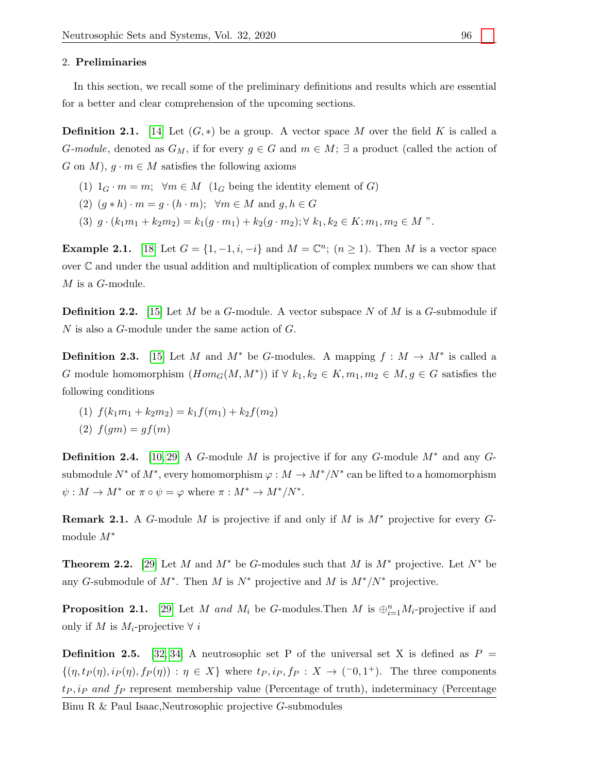#### 2. Preliminaries

In this section, we recall some of the preliminary definitions and results which are essential for a better and clear comprehension of the upcoming sections.

**Definition 2.1.** [\[14\]](#page-11-21) Let  $(G, *)$  be a group. A vector space M over the field K is called a G-module, denoted as  $G_M$ , if for every  $g \in G$  and  $m \in M$ ;  $\exists$  a product (called the action of G on M),  $g \cdot m \in M$  satisfies the following axioms

- (1)  $1_G \cdot m = m$ ;  $\forall m \in M$  ( $1_G$  being the identity element of G)
- (2)  $(g * h) \cdot m = g \cdot (h \cdot m); \forall m \in M \text{ and } g, h \in G$
- (3)  $q \cdot (k_1m_1 + k_2m_2) = k_1(q \cdot m_1) + k_2(q \cdot m_2); \forall k_1, k_2 \in K; m_1, m_2 \in M$ ".

Example 2.1. [\[18\]](#page-11-19) Let  $G = \{1, -1, i, -i\}$  and  $M = \mathbb{C}^n$ ;  $(n \geq 1)$ . Then M is a vector space over C and under the usual addition and multiplication of complex numbers we can show that  $M$  is a  $G$ -module.

**Definition 2.2.** [\[15\]](#page-11-22) Let M be a G-module. A vector subspace N of M is a G-submodule if N is also a G-module under the same action of G.

**Definition 2.3.** [\[15\]](#page-11-22) Let M and  $M^*$  be G-modules. A mapping  $f : M \to M^*$  is called a G module homomorphism  $(Hom_G(M, M^*))$  if  $\forall k_1, k_2 \in K, m_1, m_2 \in M, g \in G$  satisfies the following conditions

(1)  $f(k_1m_1 + k_2m_2) = k_1f(m_1) + k_2f(m_2)$ 

$$
(2) f(gm) = gf(m)
$$

**Definition 2.4.** [\[10,](#page-11-23) [29\]](#page-12-5) A G-module M is projective if for any G-module  $M^*$  and any Gsubmodule  $N^*$  of  $M^*$ , every homomorphism  $\varphi: M \to M^*/N^*$  can be lifted to a homomorphism  $\psi: M \to M^*$  or  $\pi \circ \psi = \varphi$  where  $\pi: M^* \to M^*/N^*$ .

**Remark 2.1.** A G-module M is projective if and only if M is  $M^*$  projective for every Gmodule M<sup>∗</sup>

<span id="page-2-1"></span>**Theorem 2.2.** [\[29\]](#page-12-5) Let M and  $M^*$  be G-modules such that M is  $M^*$  projective. Let  $N^*$  be any G-submodule of  $M^*$ . Then M is  $N^*$  projective and M is  $M^*/N^*$  projective.

<span id="page-2-0"></span>**Proposition 2.1.** [\[29\]](#page-12-5) Let M and  $M_i$  be G-modules. Then M is  $\bigoplus_{i=1}^n M_i$ -projective if and only if M is  $M_i$ -projective  $\forall i$ 

**Definition 2.5.** [\[32,](#page-12-3) [34\]](#page-12-6) A neutrosophic set P of the universal set X is defined as  $P =$  $\{(\eta, t_P(\eta), i_P(\eta), f_P(\eta)) : \eta \in X\}$  where  $t_P, i_P, f_P : X \to (-0, 1^+).$  The three components  $tp, ip$  and  $fp$  represent membership value (Percentage of truth), indeterminacy (Percentage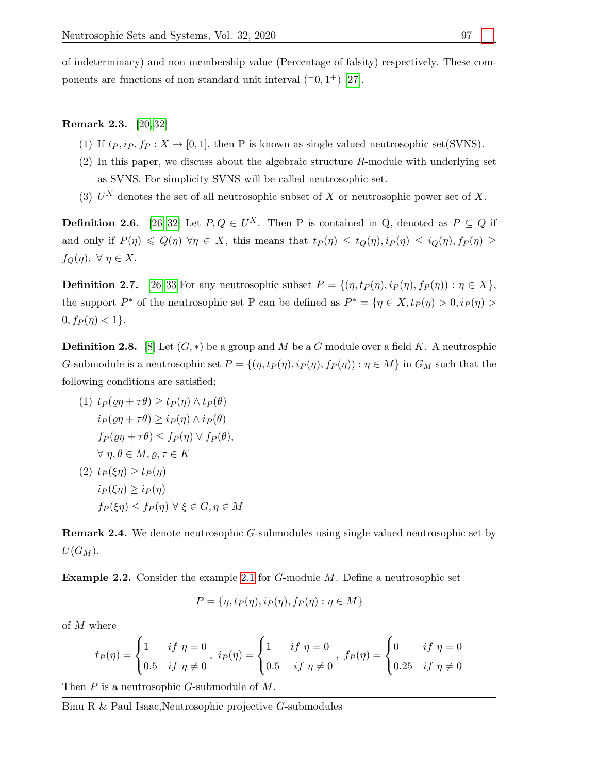of indeterminacy) and non membership value (Percentage of falsity) respectively. These components are functions of non standard unit interval  $(0, 1^+)$  [\[27\]](#page-12-7).

# Remark 2.3. [\[20,](#page-11-12) [32\]](#page-12-3)

- (1) If  $t_P, i_P, f_P : X \to [0, 1]$ , then P is known as single valued neutrosophic set(SVNS).
- $(2)$  In this paper, we discuss about the algebraic structure R-module with underlying set as SVNS. For simplicity SVNS will be called neutrosophic set.
- (3)  $U^X$  denotes the set of all neutrosophic subset of X or neutrosophic power set of X.

**Definition 2.6.** [\[26,](#page-12-8) [32\]](#page-12-3) Let  $P, Q \in U^X$ . Then P is contained in Q, denoted as  $P \subseteq Q$  if and only if  $P(\eta) \leq Q(\eta)$   $\forall \eta \in X$ , this means that  $t_P(\eta) \leq t_Q(\eta)$ ,  $i_P(\eta) \leq i_Q(\eta)$ ,  $f_P(\eta) \geq$  $f_Q(\eta)$ ,  $\forall \eta \in X$ .

**Definition 2.7.** [\[26,](#page-12-8) [33\]](#page-12-9)For any neutrosophic subset  $P = \{(\eta, t_P(\eta), i_P(\eta), f_P(\eta)) : \eta \in X\},\$ the support P<sup>∗</sup> of the neutrosophic set P can be defined as  $P^* = \{ \eta \in X, t_P(\eta) > 0, i_P(\eta) > 0 \}$  $0, f_P(\eta) < 1$ .

**Definition 2.8.** [\[8\]](#page-11-24) Let  $(G, *)$  be a group and M be a G module over a field K. A neutrosphic G-submodule is a neutrosophic set  $P = \{(\eta, t_P(\eta), i_P(\eta), f_P(\eta)) : \eta \in M\}$  in  $G_M$  such that the following conditions are satisfied;

(1) 
$$
t_P(\varrho \eta + \tau \theta) \ge t_P(\eta) \wedge t_P(\theta)
$$

$$
i_P(\varrho \eta + \tau \theta) \ge i_P(\eta) \wedge i_P(\theta)
$$

$$
f_P(\varrho \eta + \tau \theta) \le f_P(\eta) \vee f_P(\theta),
$$

$$
\forall \eta, \theta \in M, \varrho, \tau \in K
$$

$$
(2) 
$$
t_P(\xi \eta) \ge t_P(\eta)
$$

$$
i_P(\xi \eta) \ge i_P(\eta)
$$

$$
f_P(\xi \eta) \le f_P(\eta) \forall \xi \in G, \eta \in M
$$
$$

Remark 2.4. We denote neutrosophic G-submodules using single valued neutrosophic set by  $U(G_M)$ .

Example 2.2. Consider the example [2.1](#page-2-0) for G-module M. Define a neutrosophic set

$$
P = \{\eta, t_P(\eta), i_P(\eta), f_P(\eta) : \eta \in M\}
$$

of M where

$$
t_P(\eta) = \begin{cases} 1 & \text{if } \eta = 0 \\ 0.5 & \text{if } \eta \neq 0 \end{cases}, \ i_P(\eta) = \begin{cases} 1 & \text{if } \eta = 0 \\ 0.5 & \text{if } \eta \neq 0 \end{cases}, \ f_P(\eta) = \begin{cases} 0 & \text{if } \eta = 0 \\ 0.25 & \text{if } \eta \neq 0 \end{cases}
$$

Then  $P$  is a neutrosophic  $G$ -submodule of  $M$ .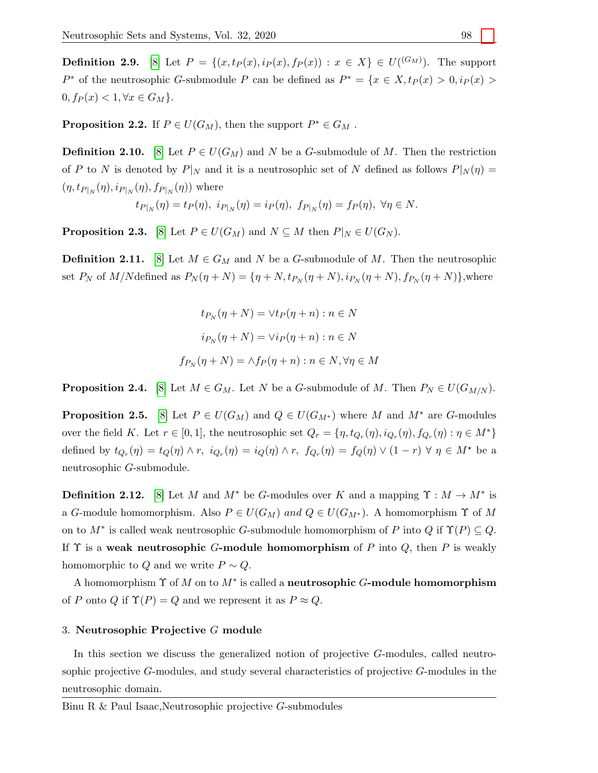**Definition 2.9.** [\[8\]](#page-11-24) Let  $P = \{(x, tp(x), ip(x), fp(x)) : x \in X\} \in U(^{(G_M)})$ . The support P<sup>\*</sup> of the neutrosophic G-submodule P can be defined as  $P^* = \{x \in X, t_P(x) > 0, i_P(x) > 0\}$  $0, f_P(x) < 1, \forall x \in G_M$ .

**Proposition 2.2.** If  $P \in U(G_M)$ , then the support  $P^* \in G_M$ .

**Definition 2.10.** [\[8\]](#page-11-24) Let  $P \in U(G_M)$  and N be a G-submodule of M. Then the restriction of P to N is denoted by  $P|_N$  and it is a neutrosophic set of N defined as follows  $P|_N(\eta) =$  $(\eta, t_{P|_N}(\eta), i_{P|_N}(\eta), f_{P|_N}(\eta))$  where

$$
t_{P|_N}(\eta) = t_P(\eta), \ i_{P|_N}(\eta) = i_P(\eta), \ f_{P|_N}(\eta) = f_P(\eta), \ \forall \eta \in N.
$$

**Proposition 2.3.** [\[8\]](#page-11-24) Let  $P \in U(G_M)$  and  $N \subseteq M$  then  $P|_N \in U(G_N)$ .

**Definition 2.11.** [\[8\]](#page-11-24) Let  $M \in G_M$  and N be a G-submodule of M. Then the neutrosophic set  $P_N$  of M/Ndefined as  $P_N(\eta + N) = \{\eta + N, t_{P_N}(\eta + N), i_{P_N}(\eta + N), f_{P_N}(\eta + N)\}\,$ , where

$$
t_{P_N}(\eta + N) = \forall t_P(\eta + n) : n \in N
$$

$$
i_{P_N}(\eta + N) = \forall i_P(\eta + n) : n \in N
$$

$$
f_{P_N}(\eta + N) = \land f_P(\eta + n) : n \in N, \forall \eta \in M
$$

**Proposition 2.4.** [\[8\]](#page-11-24) Let  $M \in G_M$ . Let N be a G-submodule of M. Then  $P_N \in U(G_{M/N})$ .

**Proposition 2.5.** [\[8\]](#page-11-24) Let  $P \in U(G_M)$  and  $Q \in U(G_{M^*})$  where M and  $M^*$  are G-modules over the field K. Let  $r \in [0,1]$ , the neutrosophic set  $Q_r = \{\eta, t_{Q_r}(\eta), i_{Q_r}(\eta), f_{Q_r}(\eta) : \eta \in M^*\}$ defined by  $t_{Q_r}(\eta) = t_Q(\eta) \wedge r$ ,  $i_{Q_r}(\eta) = i_Q(\eta) \wedge r$ ,  $f_{Q_r}(\eta) = f_Q(\eta) \vee (1 - r) \forall \eta \in M^*$  be a neutrosophic G-submodule.

**Definition 2.12.** [\[8\]](#page-11-24) Let M and  $M^*$  be G-modules over K and a mapping  $\Upsilon : M \to M^*$  is a G-module homomorphism. Also  $P \in U(G_M)$  and  $Q \in U(G_{M^*})$ . A homomorphism  $\Upsilon$  of M on to  $M^*$  is called weak neutrosophic G-submodule homomorphism of P into Q if  $\Upsilon(P) \subseteq Q$ . If  $\Upsilon$  is a weak neutrosophic G-module homomorphism of P into Q, then P is weakly homomorphic to Q and we write  $P \sim Q$ .

A homomorphism  $\Upsilon$  of M on to  $M^*$  is called a neutrosophic G-module homomorphism of P onto Q if  $\Upsilon(P) = Q$  and we represent it as  $P \approx Q$ .

#### 3. Neutrosophic Projective G module

In this section we discuss the generalized notion of projective G-modules, called neutrosophic projective G-modules, and study several characteristics of projective G-modules in the neutrosophic domain.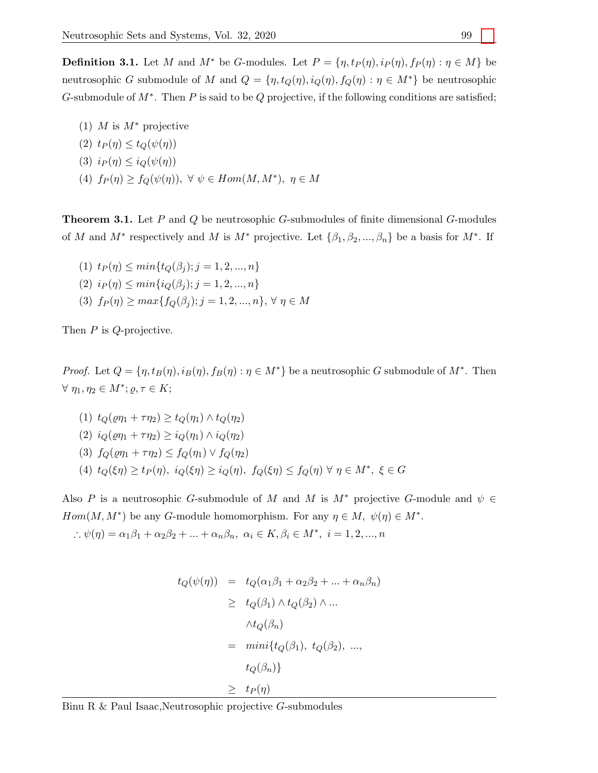**Definition 3.1.** Let M and  $M^*$  be G-modules. Let  $P = \{\eta, t_P(\eta), i_P(\eta), f_P(\eta) : \eta \in M\}$  be neutrosophic G submodule of M and  $Q = \{\eta, t_Q(\eta), i_Q(\eta), f_Q(\eta) : \eta \in M^*\}$  be neutrosophic G-submodule of  $M^*$ . Then P is said to be Q projective, if the following conditions are satisfied;

(1) M is  $M^*$  projective (2)  $t_P(\eta) \leq t_O(\psi(\eta))$ (3)  $i_P(\eta) \leq i_Q(\psi(\eta))$ (4)  $f_P(\eta) \ge f_Q(\psi(\eta)), \forall \psi \in Hom(M, M^*), \eta \in M$ 

**Theorem 3.1.** Let  $P$  and  $Q$  be neutrosophic  $G$ -submodules of finite dimensional  $G$ -modules of M and  $M^*$  respectively and M is  $M^*$  projective. Let  $\{\beta_1, \beta_2, ..., \beta_n\}$  be a basis for  $M^*$ . If

(1)  $t_P(\eta) \leq min\{t_O(\beta_i); j = 1, 2, ..., n\}$ (2)  $i_P(\eta) \leq min\{i_O(\beta_i); j = 1, 2, ..., n\}$ (3)  $f_P(\eta) \geq max\{f_O(\beta_j); j = 1, 2, ..., n\}, \forall \eta \in M$ 

Then *P* is *Q*-projective.

*Proof.* Let  $Q = \{\eta, t_B(\eta), i_B(\eta), f_B(\eta) : \eta \in M^*\}$  be a neutrosophic G submodule of  $M^*$ . Then  $\forall \eta_1, \eta_2 \in M^*; \varrho, \tau \in K;$ 

(1) 
$$
t_Q(\varrho \eta_1 + \tau \eta_2) \ge t_Q(\eta_1) \wedge t_Q(\eta_2)
$$
  
\n(2)  $i_Q(\varrho \eta_1 + \tau \eta_2) \ge i_Q(\eta_1) \wedge i_Q(\eta_2)$   
\n(3)  $f_Q(\varrho \eta_1 + \tau \eta_2) \le f_Q(\eta_1) \vee f_Q(\eta_2)$   
\n(4)  $t_Q(\xi \eta) \ge t_P(\eta), i_Q(\xi \eta) \ge i_Q(\eta), f_Q(\xi \eta) \le f_Q(\eta) \forall \eta \in M^*, \xi \in G$ 

Also P is a neutrosophic G-submodule of M and M is  $M^*$  projective G-module and  $\psi \in$  $Hom(M, M^*)$  be any G-module homomorphism. For any  $\eta \in M$ ,  $\psi(\eta) \in M^*$ .

∴  $\psi(\eta) = \alpha_1 \beta_1 + \alpha_2 \beta_2 + ... + \alpha_n \beta_n, \ \alpha_i \in K, \beta_i \in M^*, \ i = 1, 2, ..., n$ 

$$
t_Q(\psi(\eta)) = t_Q(\alpha_1 \beta_1 + \alpha_2 \beta_2 + \dots + \alpha_n \beta_n)
$$
  
\n
$$
\geq t_Q(\beta_1) \wedge t_Q(\beta_2) \wedge \dots
$$
  
\n
$$
\wedge t_Q(\beta_n)
$$
  
\n
$$
= \min\{t_Q(\beta_1), t_Q(\beta_2), \dots,
$$
  
\n
$$
t_Q(\beta_n)\}
$$
  
\n
$$
\geq t_P(\eta)
$$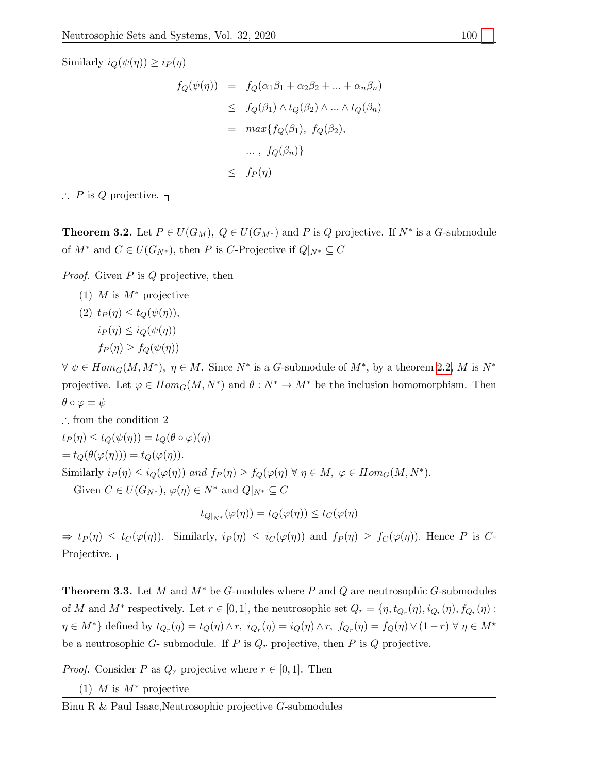Similarly  $i_Q(\psi(\eta)) \geq i_P(\eta)$ 

$$
f_Q(\psi(\eta)) = f_Q(\alpha_1 \beta_1 + \alpha_2 \beta_2 + \dots + \alpha_n \beta_n)
$$
  
\n
$$
\leq f_Q(\beta_1) \wedge t_Q(\beta_2) \wedge \dots \wedge t_Q(\beta_n)
$$
  
\n
$$
= \max\{f_Q(\beta_1), f_Q(\beta_2),
$$
  
\n
$$
\dots, f_Q(\beta_n)\}
$$
  
\n
$$
\leq f_P(\eta)
$$

∴ P is Q projective.  $□$ 

**Theorem 3.2.** Let  $P \in U(G_M)$ ,  $Q \in U(G_{M^*})$  and P is Q projective. If  $N^*$  is a G-submodule of  $M^*$  and  $C \in U(G_{N^*})$ , then P is C-Projective if  $Q|_{N^*} \subseteq C$ 

*Proof.* Given  $P$  is  $Q$  projective, then

(1) M is  $M^*$  projective

(2) 
$$
t_P(\eta) \le t_Q(\psi(\eta)),
$$
  
\n $i_P(\eta) \le i_Q(\psi(\eta))$   
\n $f_P(\eta) \ge f_Q(\psi(\eta))$ 

 $\forall \psi \in Hom_G(M, M^*), \eta \in M$ . Since  $N^*$  is a G-submodule of  $M^*$ , by a theorem [2.2,](#page-2-1) M is  $N^*$ projective. Let  $\varphi \in Hom_G(M, N^*)$  and  $\theta : N^* \to M^*$  be the inclusion homomorphism. Then  $\theta \circ \varphi = \psi$ 

$$
\therefore \text{ from the condition 2}
$$
\n
$$
t_P(\eta) \le t_Q(\psi(\eta)) = t_Q(\theta \circ \varphi)(\eta)
$$
\n
$$
= t_Q(\theta(\varphi(\eta))) = t_Q(\varphi(\eta)).
$$
\nSimilarly  $i_P(\eta) \le i_Q(\varphi(\eta))$  and  $f_P(\eta) \ge f_Q(\varphi(\eta)) \forall \eta \in M, \varphi \in Hom_G(M, N^*).$ 

\nGiven  $C \in U(G_{N^*}), \varphi(\eta) \in N^*$  and  $Q|_{N^*} \subseteq C$ 

$$
t_{Q|_{N^*}}(\varphi(\eta)) = t_Q(\varphi(\eta)) \le t_C(\varphi(\eta))
$$

 $\Rightarrow t_P(\eta) \leq t_C(\varphi(\eta))$ . Similarly,  $i_P(\eta) \leq i_C(\varphi(\eta))$  and  $f_P(\eta) \geq f_C(\varphi(\eta))$ . Hence P is C-Projective.  $\Box$ 

**Theorem 3.3.** Let M and  $M^*$  be G-modules where P and Q are neutrosophic G-submodules of M and  $M^*$  respectively. Let  $r \in [0, 1]$ , the neutrosophic set  $Q_r = \{\eta, t_{Q_r}(\eta), i_{Q_r}(\eta), f_{Q_r}(\eta)$ :  $\eta \in M^*$  defined by  $t_{Q_r}(\eta) = t_Q(\eta) \wedge r$ ,  $i_{Q_r}(\eta) = i_Q(\eta) \wedge r$ ,  $f_{Q_r}(\eta) = f_Q(\eta) \vee (1 - r) \vee \eta \in M^*$ be a neutrosophic  $G$ - submodule. If  $P$  is  $Q_r$  projective, then  $P$  is  $Q$  projective.

*Proof.* Consider P as  $Q_r$  projective where  $r \in [0, 1]$ . Then

(1) M is  $M^*$  projective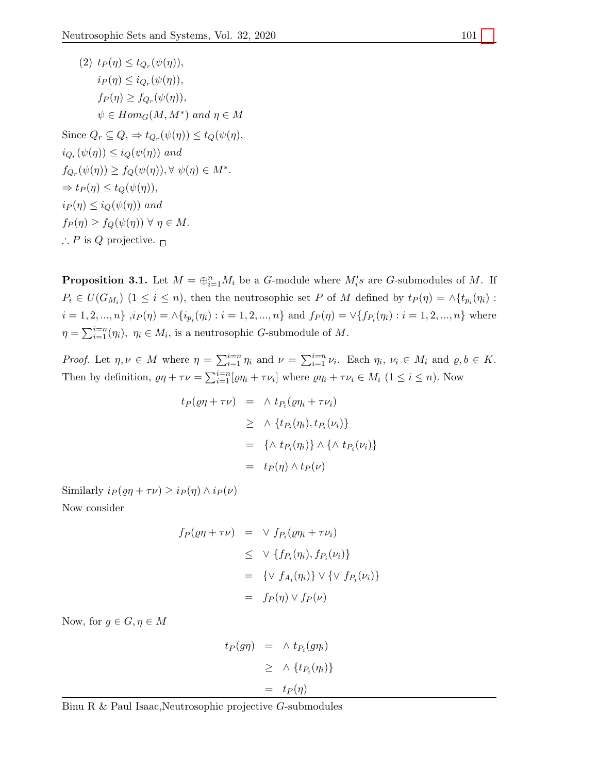(2) 
$$
t_P(\eta) \le t_{Q_r}(\psi(\eta)),
$$
  
\n $i_P(\eta) \le i_{Q_r}(\psi(\eta)),$   
\n $f_P(\eta) \ge f_{Q_r}(\psi(\eta)),$   
\n $\psi \in Hom_G(M, M^*)$  and  $\eta \in M$   
\nSince  $Q_r \subseteq Q, \Rightarrow t_{Q_r}(\psi(\eta)) \le t_Q(\psi(\eta),$   
\n $i_{Q_r}(\psi(\eta)) \le i_Q(\psi(\eta))$  and  
\n $f_{Q_r}(\psi(\eta)) \ge f_Q(\psi(\eta)), \forall \psi(\eta) \in M^*.$   
\n $\Rightarrow t_P(\eta) \le t_Q(\psi(\eta)),$   
\n $i_P(\eta) \le i_Q(\psi(\eta))$  and  
\n $f_P(\eta) \ge f_Q(\psi(\eta)) \forall \eta \in M.$   
\n $\therefore P$  is  $Q$  projective.  $\Box$ 

<span id="page-7-0"></span>**Proposition 3.1.** Let  $M = \bigoplus_{i=1}^{n} M_i$  be a G-module where  $M_i$ 's are G-submodules of M. If  $P_i \in U(G_{M_i})$  (1 ≤ i ≤ n), then the neutrosophic set P of M defined by  $t_P(\eta) = \wedge \{t_{p_i}(\eta_i):$  $i = 1, 2, ..., n$   $, i_P(\eta) = \wedge \{i_{p_i}(\eta_i) : i = 1, 2, ..., n\}$  and  $f_P(\eta) = \vee \{f_{P_i}(\eta_i) : i = 1, 2, ..., n\}$  where  $\eta = \sum_{i=1}^{i=n} (\eta_i), \eta_i \in M_i$ , is a neutrosophic *G*-submodule of *M*.

Proof. Let  $\eta, \nu \in M$  where  $\eta = \sum_{i=1}^{i=n} \eta_i$  and  $\nu = \sum_{i=1}^{i=n} \nu_i$ . Each  $\eta_i, \nu_i \in M_i$  and  $\varrho, b \in K$ . Then by definition,  $\varrho\eta + \tau\nu = \sum_{i=1}^{i=n} [\varrho\eta_i + \tau\nu_i]$  where  $\varrho\eta_i + \tau\nu_i \in M_i$   $(1 \le i \le n)$ . Now

$$
t_P(\varrho\eta + \tau\nu) = \wedge t_{P_i}(\varrho\eta_i + \tau\nu_i)
$$
  
\n
$$
\geq \wedge \{t_{P_i}(\eta_i), t_{P_i}(\nu_i)\}
$$
  
\n
$$
= \{\wedge t_{P_i}(\eta_i)\} \wedge \{\wedge t_{P_i}(\nu_i)\}
$$
  
\n
$$
= t_P(\eta) \wedge t_P(\nu)
$$

Similarly  $i_P(\varrho\eta + \tau\nu) \geq i_P(\eta) \wedge i_P(\nu)$ 

Now consider

$$
f_P(\varrho\eta + \tau\nu) = \vee f_{P_i}(\varrho\eta_i + \tau\nu_i)
$$
  
\n
$$
\leq \vee \{f_{P_i}(\eta_i), f_{P_i}(\nu_i)\}
$$
  
\n
$$
= \{\vee f_{A_i}(\eta_i)\} \vee \{\vee f_{P_i}(\nu_i)\}
$$
  
\n
$$
= f_P(\eta) \vee f_P(\nu)
$$

Now, for  $g \in G, \eta \in M$ 

$$
t_P(g\eta) = \wedge t_{P_i}(g\eta_i)
$$
  
\n
$$
\geq \wedge \{t_{P_i}(\eta_i)\}
$$
  
\n
$$
= t_P(\eta)
$$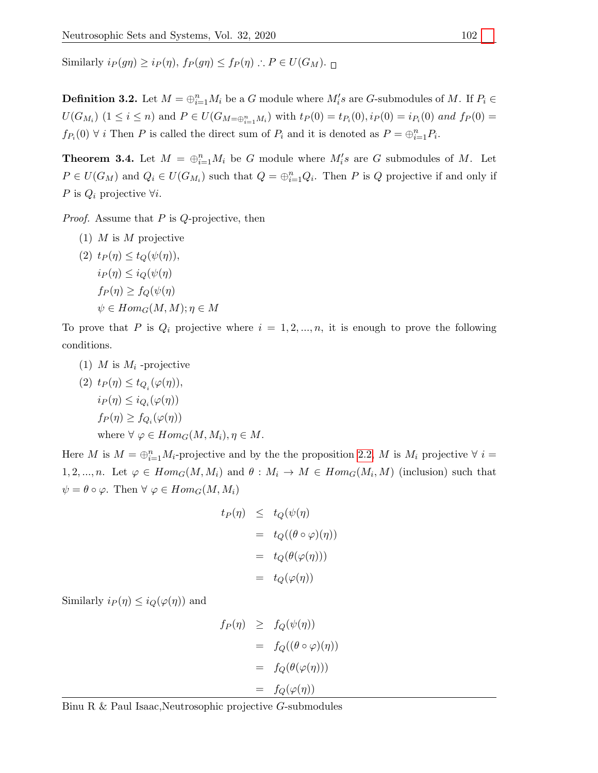Similarly  $i_P(q\eta) \geq i_P(\eta)$ ,  $f_P(q\eta) \leq f_P(\eta)$ .  $P \in U(G_M)$ .

**Definition 3.2.** Let  $M = \bigoplus_{i=1}^{n} M_i$  be a G module where  $M_i$ 's are G-submodules of M. If  $P_i \in$  $U(G_{M_i})$   $(1 \leq i \leq n)$  and  $P \in U(G_{M=\bigoplus_{i=1}^n M_i})$  with  $t_P(0) = t_{P_i}(0), i_P(0) = i_{P_i}(0)$  and  $f_P(0) = t_{P_i}(0)$  $f_{P_i}(0)$   $\forall$  *i* Then *P* is called the direct sum of  $P_i$  and it is denoted as  $P = \bigoplus_{i=1}^n P_i$ .

**Theorem 3.4.** Let  $M = \bigoplus_{i=1}^{n} M_i$  be G module where  $M_i$ 's are G submodules of M. Let  $P \in U(G_M)$  and  $Q_i \in U(G_{M_i})$  such that  $Q = \bigoplus_{i=1}^n Q_i$ . Then P is Q projective if and only if P is  $Q_i$  projective  $\forall i$ .

*Proof.* Assume that  $P$  is  $Q$ -projective, then

(1)  $M$  is  $M$  projective

(2) 
$$
t_P(\eta) \le t_Q(\psi(\eta)),
$$
  
\n $i_P(\eta) \le i_Q(\psi(\eta))$   
\n $f_P(\eta) \ge f_Q(\psi(\eta))$   
\n $\psi \in Hom_G(M, M); \eta \in M$ 

To prove that P is  $Q_i$  projective where  $i = 1, 2, ..., n$ , it is enough to prove the following conditions.

(1) M is  $M_i$ -projective

(2) 
$$
t_P(\eta) \le t_{Q_i}(\varphi(\eta)),
$$
  
\n $i_P(\eta) \le i_{Q_i}(\varphi(\eta))$   
\n $f_P(\eta) \ge f_{Q_i}(\varphi(\eta))$   
\nwhere  $\forall \varphi \in Hom_G(M, M_i), \eta \in M$ .

Here M is  $M = \bigoplus_{i=1}^n M_i$ -projective and by the the proposition [2.2,](#page-2-1) M is  $M_i$  projective  $\forall i =$ 1, 2, ..., n. Let  $\varphi \in Hom_G(M, M_i)$  and  $\theta : M_i \to M \in Hom_G(M_i, M)$  (inclusion) such that  $\psi = \theta \circ \varphi$ . Then  $\forall \varphi \in Hom_G(M, M_i)$ 

$$
t_P(\eta) \leq t_Q(\psi(\eta))
$$
  
=  $t_Q((\theta \circ \varphi)(\eta))$   
=  $t_Q(\theta(\varphi(\eta)))$   
=  $t_Q(\varphi(\eta))$ 

Similarly  $i_P(\eta) \leq i_Q(\varphi(\eta))$  and

$$
f_P(\eta) \geq f_Q(\psi(\eta))
$$
  
=  $f_Q((\theta \circ \varphi)(\eta))$   
=  $f_Q(\theta(\varphi(\eta)))$   
=  $f_Q(\varphi(\eta))$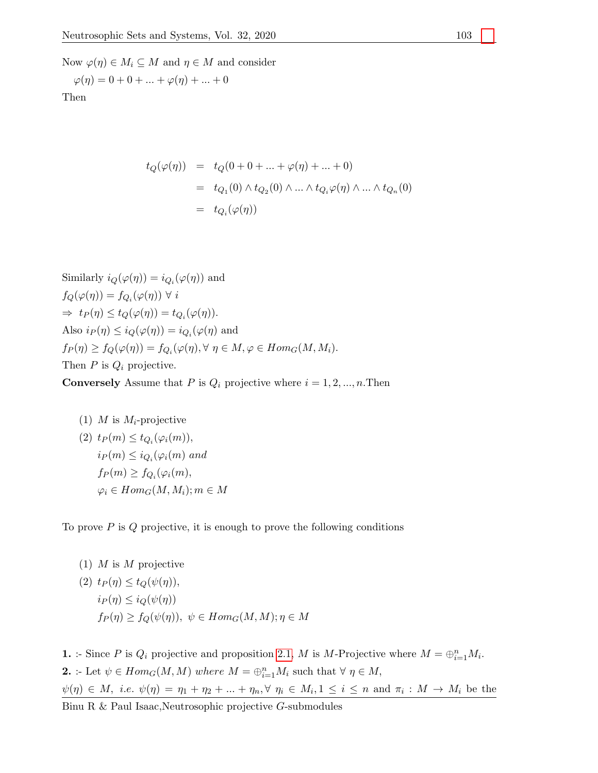Now  $\varphi(\eta) \in M_i \subseteq M$  and  $\eta \in M$  and consider

$$
\varphi(\eta) = 0 + 0 + \dots + \varphi(\eta) + \dots + 0
$$

Then

$$
t_Q(\varphi(\eta)) = t_Q(0 + 0 + \dots + \varphi(\eta) + \dots + 0)
$$
  
=  $t_{Q_1}(0) \wedge t_{Q_2}(0) \wedge \dots \wedge t_{Q_i}\varphi(\eta) \wedge \dots \wedge t_{Q_n}(0)$   
=  $t_{Q_i}(\varphi(\eta))$ 

Similarly  $i_Q(\varphi(\eta)) = i_{Q_i}(\varphi(\eta))$  and  $f_{\mathcal{O}}(\varphi(\eta)) = f_{\mathcal{O}_i}(\varphi(\eta)) \ \forall \ i$  $\Rightarrow t_P(\eta) \leq t_Q(\varphi(\eta)) = t_{Q_i}(\varphi(\eta)).$ Also  $i_P(\eta) \leq i_Q(\varphi(\eta)) = i_{Q_i}(\varphi(\eta))$  and  $f_P(\eta) \ge f_Q(\varphi(\eta)) = f_{Q_i}(\varphi(\eta), \forall \eta \in M, \varphi \in Hom_G(M, M_i).$ Then  $P$  is  $Q_i$  projective.

**Conversely** Assume that P is  $Q_i$  projective where  $i = 1, 2, ..., n$ . Then

(1) 
$$
M
$$
 is  $M_i$ -projective  
\n(2)  $t_P(m) \le t_{Q_i}(\varphi_i(m))$ ,  
\n $i_P(m) \le i_{Q_i}(\varphi_i(m)$  and  
\n $f_P(m) \ge f_{Q_i}(\varphi_i(m))$ ,  
\n $\varphi_i \in Hom_G(M, M_i); m \in M$ 

To prove  $P$  is  $Q$  projective, it is enough to prove the following conditions

(1) *M* is *M* projective  
\n(2) 
$$
t_P(\eta) \le t_Q(\psi(\eta)),
$$
  
\n $i_P(\eta) \le i_Q(\psi(\eta))$   
\n $f_P(\eta) \ge f_Q(\psi(\eta)), \ \psi \in Hom_G(M, M); \eta \in M$ 

**1.** :- Since P is  $Q_i$  projective and proposition 2.[1,](#page-2-0) M is M-Projective where  $M = \bigoplus_{i=1}^n M_i$ . **2.** :- Let  $\psi \in Hom_G(M, M)$  where  $M = \bigoplus_{i=1}^n M_i$  such that  $\forall \eta \in M$ ,  $\psi(\eta) \in M$ , *i.e.*  $\psi(\eta) = \eta_1 + \eta_2 + \ldots + \eta_n$ ,  $\forall \eta_i \in M_i$ ,  $1 \leq i \leq n$  and  $\pi_i : M \to M_i$  be the Binu R & Paul Isaac,Neutrosophic projective G-submodules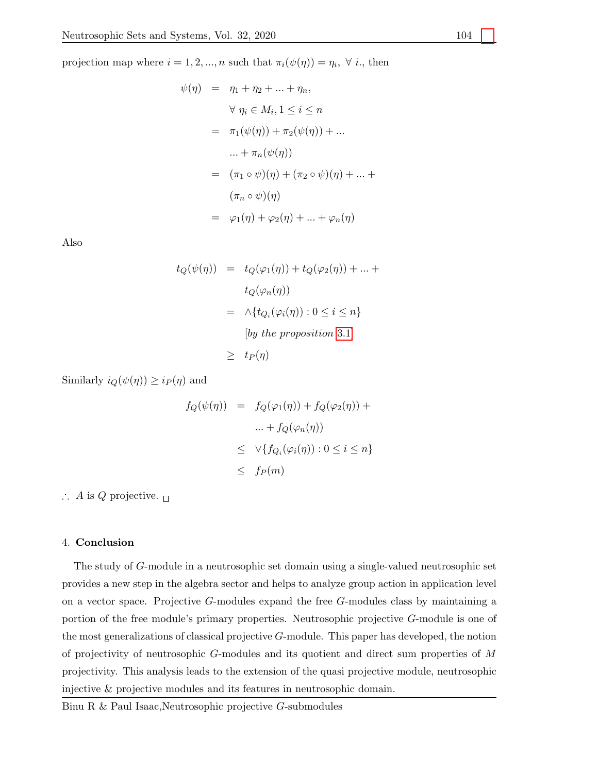projection map where  $i = 1, 2, ..., n$  such that  $\pi_i(\psi(\eta)) = \eta_i, \forall i$ , then

$$
\psi(\eta) = \eta_1 + \eta_2 + \dots + \eta_n,
$$
  
\n
$$
\forall \eta_i \in M_i, 1 \le i \le n
$$
  
\n
$$
= \pi_1(\psi(\eta)) + \pi_2(\psi(\eta)) + \dots
$$
  
\n
$$
\dots + \pi_n(\psi(\eta))
$$
  
\n
$$
= (\pi_1 \circ \psi)(\eta) + (\pi_2 \circ \psi)(\eta) + \dots + (\pi_n \circ \psi)(\eta)
$$
  
\n
$$
= \varphi_1(\eta) + \varphi_2(\eta) + \dots + \varphi_n(\eta)
$$

Also

$$
t_Q(\psi(\eta)) = t_Q(\varphi_1(\eta)) + t_Q(\varphi_2(\eta)) + \dots +
$$
  
\n
$$
t_Q(\varphi_n(\eta))
$$
  
\n
$$
= \wedge \{t_{Q_i}(\varphi_i(\eta)) : 0 \le i \le n\}
$$
  
\n[by the proposition 3.1]  
\n
$$
\ge t_P(\eta)
$$

Similarly  $i_Q(\psi(\eta)) \geq i_P(\eta)$  and

$$
f_Q(\psi(\eta)) = f_Q(\varphi_1(\eta)) + f_Q(\varphi_2(\eta)) +
$$
  

$$
\dots + f_Q(\varphi_n(\eta))
$$
  

$$
\leq \vee \{ f_{Q_i}(\varphi_i(\eta)) : 0 \leq i \leq n \}
$$
  

$$
\leq f_P(m)
$$

∴ A is Q projective.  $\Box$ 

# 4. Conclusion

The study of G-module in a neutrosophic set domain using a single-valued neutrosophic set provides a new step in the algebra sector and helps to analyze group action in application level on a vector space. Projective G-modules expand the free G-modules class by maintaining a portion of the free module's primary properties. Neutrosophic projective G-module is one of the most generalizations of classical projective G-module. This paper has developed, the notion of projectivity of neutrosophic  $G$ -modules and its quotient and direct sum properties of  $M$ projectivity. This analysis leads to the extension of the quasi projective module, neutrosophic injective & projective modules and its features in neutrosophic domain.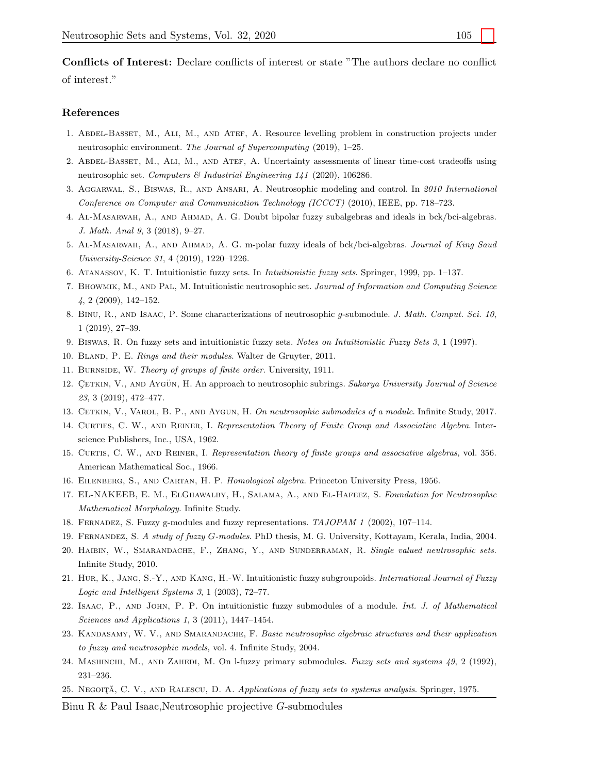Conflicts of Interest: Declare conflicts of interest or state "The authors declare no conflict of interest."

#### References

- <span id="page-11-13"></span>1. Abdel-Basset, M., Ali, M., and Atef, A. Resource levelling problem in construction projects under neutrosophic environment. The Journal of Supercomputing (2019), 1–25.
- <span id="page-11-10"></span>2. Abdel-Basset, M., Ali, M., and Atef, A. Uncertainty assessments of linear time-cost tradeoffs using neutrosophic set. Computers & Industrial Engineering 141 (2020), 106286.
- <span id="page-11-11"></span>3. Aggarwal, S., Biswas, R., and Ansari, A. Neutrosophic modeling and control. In 2010 International Conference on Computer and Communication Technology (ICCCT) (2010), IEEE, pp. 718–723.
- <span id="page-11-4"></span>4. Al-Masarwah, A., and Ahmad, A. G. Doubt bipolar fuzzy subalgebras and ideals in bck/bci-algebras. J. Math. Anal 9, 3 (2018), 9–27.
- <span id="page-11-5"></span>5. Al-Masarwah, A., and Ahmad, A. G. m-polar fuzzy ideals of bck/bci-algebras. Journal of King Saud University-Science 31, 4 (2019), 1220–1226.
- <span id="page-11-6"></span>6. Atanassov, K. T. Intuitionistic fuzzy sets. In Intuitionistic fuzzy sets. Springer, 1999, pp. 1–137.
- <span id="page-11-14"></span>7. Bhowmik, M., and Pal, M. Intuitionistic neutrosophic set. Journal of Information and Computing Science 4, 2 (2009), 142–152.
- <span id="page-11-24"></span>8. Binu, R., and Isaac, P. Some characterizations of neutrosophic g-submodule. J. Math. Comput. Sci. 10, 1 (2019), 27–39.
- <span id="page-11-7"></span>9. Biswas, R. On fuzzy sets and intuitionistic fuzzy sets. Notes on Intuitionistic Fuzzy Sets 3, 1 (1997).
- <span id="page-11-23"></span>10. Bland, P. E. Rings and their modules. Walter de Gruyter, 2011.
- <span id="page-11-1"></span>11. BURNSIDE, W. Theory of groups of finite order. University, 1911.
- <span id="page-11-17"></span>12. CETKIN, V., AND AYGÜN, H. An approach to neutrosophic subrings. Sakarya University Journal of Science 23, 3 (2019), 472–477.
- <span id="page-11-18"></span>13. CETKIN, V., VAROL, B. P., AND AYGUN, H. On neutrosophic submodules of a module. Infinite Study, 2017.
- <span id="page-11-21"></span>14. Curties, C. W., and Reiner, I. Representation Theory of Finite Group and Associative Algebra. Interscience Publishers, Inc., USA, 1962.
- <span id="page-11-22"></span>15. Curtis, C. W., and Reiner, I. Representation theory of finite groups and associative algebras, vol. 356. American Mathematical Soc., 1966.
- <span id="page-11-0"></span>16. Eilenberg, S., and Cartan, H. P. Homological algebra. Princeton University Press, 1956.
- <span id="page-11-15"></span>17. EL-NAKEEB, E. M., ElGhawalby, H., Salama, A., and El-Hafeez, S. Foundation for Neutrosophic Mathematical Morphology. Infinite Study.
- <span id="page-11-19"></span>18. Fernadez, S. Fuzzy g-modules and fuzzy representations. TAJOPAM 1 (2002), 107–114.
- <span id="page-11-20"></span>19. Fernandez, S. A study of fuzzy G-modules. PhD thesis, M. G. University, Kottayam, Kerala, India, 2004.
- <span id="page-11-12"></span>20. Haibin, W., Smarandache, F., Zhang, Y., and Sunderraman, R. Single valued neutrosophic sets. Infinite Study, 2010.
- <span id="page-11-8"></span>21. Hur, K., Jang, S.-Y., and Kang, H.-W. Intuitionistic fuzzy subgroupoids. International Journal of Fuzzy Logic and Intelligent Systems 3, 1 (2003), 72–77.
- <span id="page-11-9"></span>22. Isaac, P., and John, P. P. On intuitionistic fuzzy submodules of a module. Int. J. of Mathematical Sciences and Applications 1, 3 (2011), 1447–1454.
- <span id="page-11-16"></span>23. Kandasamy, W. V., and Smarandache, F. Basic neutrosophic algebraic structures and their application to fuzzy and neutrosophic models, vol. 4. Infinite Study, 2004.
- <span id="page-11-3"></span>24. Mashinchi, M., and Zahedi, M. On l-fuzzy primary submodules. Fuzzy sets and systems 49, 2 (1992), 231–236.
- <span id="page-11-2"></span>25. NEGOITĂ, C. V., AND RALESCU, D. A. Applications of fuzzy sets to systems analysis. Springer, 1975.